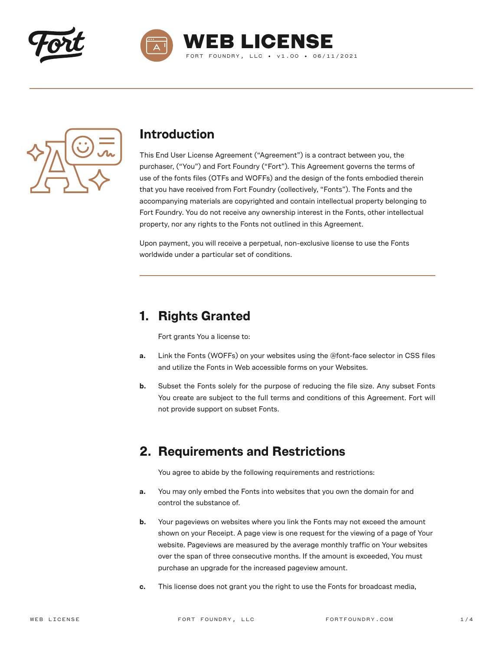





#### **Introduction**

This End User License Agreement ("Agreement") is a contract between you, the purchaser, ("You") and Fort Foundry ("Fort"). This Agreement governs the terms of use of the fonts files (OTFs and WOFFs) and the design of the fonts embodied therein that you have received from Fort Foundry (collectively, "Fonts"). The Fonts and the accompanying materials are copyrighted and contain intellectual property belonging to Fort Foundry. You do not receive any ownership interest in the Fonts, other intellectual property, nor any rights to the Fonts not outlined in this Agreement.

Upon payment, you will receive a perpetual, non-exclusive license to use the Fonts worldwide under a particular set of conditions.

## **1. Rights Granted**

Fort grants You a license to:

- **a.** Link the Fonts (WOFFs) on your websites using the @font-face selector in CSS files and utilize the Fonts in Web accessible forms on your Websites.
- **b.** Subset the Fonts solely for the purpose of reducing the file size. Any subset Fonts You create are subject to the full terms and conditions of this Agreement. Fort will not provide support on subset Fonts.

#### **2. Requirements and Restrictions**

You agree to abide by the following requirements and restrictions:

- **a.** You may only embed the Fonts into websites that you own the domain for and control the substance of.
- **b.** Your pageviews on websites where you link the Fonts may not exceed the amount shown on your Receipt. A page view is one request for the viewing of a page of Your website. Pageviews are measured by the average monthly traffic on Your websites over the span of three consecutive months. If the amount is exceeded, You must purchase an upgrade for the increased pageview amount.
- **c.** This license does not grant you the right to use the Fonts for broadcast media,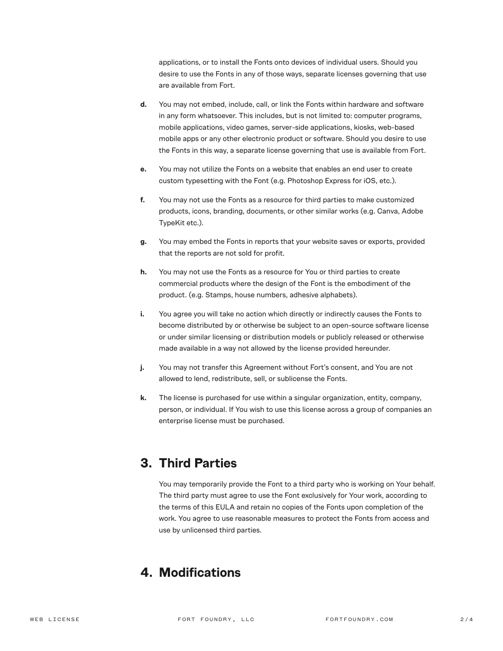applications, or to install the Fonts onto devices of individual users. Should you desire to use the Fonts in any of those ways, separate licenses governing that use are available from Fort.

- **d.** You may not embed, include, call, or link the Fonts within hardware and software in any form whatsoever. This includes, but is not limited to: computer programs, mobile applications, video games, server-side applications, kiosks, web-based mobile apps or any other electronic product or software. Should you desire to use the Fonts in this way, a separate license governing that use is available from Fort.
- **e.** You may not utilize the Fonts on a website that enables an end user to create custom typesetting with the Font (e.g. Photoshop Express for iOS, etc.).
- **f.** You may not use the Fonts as a resource for third parties to make customized products, icons, branding, documents, or other similar works (e.g. Canva, Adobe TypeKit etc.).
- **g.** You may embed the Fonts in reports that your website saves or exports, provided that the reports are not sold for profit.
- **h.** You may not use the Fonts as a resource for You or third parties to create commercial products where the design of the Font is the embodiment of the product. (e.g. Stamps, house numbers, adhesive alphabets).
- **i.** You agree you will take no action which directly or indirectly causes the Fonts to become distributed by or otherwise be subject to an open-source software license or under similar licensing or distribution models or publicly released or otherwise made available in a way not allowed by the license provided hereunder.
- **j.** You may not transfer this Agreement without Fort's consent, and You are not allowed to lend, redistribute, sell, or sublicense the Fonts.
- **k.** The license is purchased for use within a singular organization, entity, company, person, or individual. If You wish to use this license across a group of companies an enterprise license must be purchased.

## **3. Third Parties**

You may temporarily provide the Font to a third party who is working on Your behalf. The third party must agree to use the Font exclusively for Your work, according to the terms of this EULA and retain no copies of the Fonts upon completion of the work. You agree to use reasonable measures to protect the Fonts from access and use by unlicensed third parties.

#### **4. Modifications**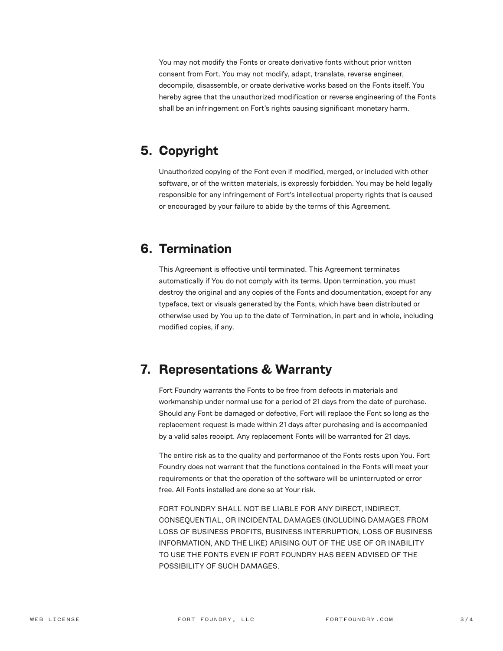You may not modify the Fonts or create derivative fonts without prior written consent from Fort. You may not modify, adapt, translate, reverse engineer, decompile, disassemble, or create derivative works based on the Fonts itself. You hereby agree that the unauthorized modification or reverse engineering of the Fonts shall be an infringement on Fort's rights causing significant monetary harm.

### **5. Copyright**

Unauthorized copying of the Font even if modified, merged, or included with other software, or of the written materials, is expressly forbidden. You may be held legally responsible for any infringement of Fort's intellectual property rights that is caused or encouraged by your failure to abide by the terms of this Agreement.

#### **6. Termination**

This Agreement is effective until terminated. This Agreement terminates automatically if You do not comply with its terms. Upon termination, you must destroy the original and any copies of the Fonts and documentation, except for any typeface, text or visuals generated by the Fonts, which have been distributed or otherwise used by You up to the date of Termination, in part and in whole, including modified copies, if any.

## **7. Representations & Warranty**

Fort Foundry warrants the Fonts to be free from defects in materials and workmanship under normal use for a period of 21 days from the date of purchase. Should any Font be damaged or defective, Fort will replace the Font so long as the replacement request is made within 21 days after purchasing and is accompanied by a valid sales receipt. Any replacement Fonts will be warranted for 21 days.

The entire risk as to the quality and performance of the Fonts rests upon You. Fort Foundry does not warrant that the functions contained in the Fonts will meet your requirements or that the operation of the software will be uninterrupted or error free. All Fonts installed are done so at Your risk.

FORT FOUNDRY SHALL NOT BE LIABLE FOR ANY DIRECT, INDIRECT, CONSEQUENTIAL, OR INCIDENTAL DAMAGES (INCLUDING DAMAGES FROM LOSS OF BUSINESS PROFITS, BUSINESS INTERRUPTION, LOSS OF BUSINESS INFORMATION, AND THE LIKE) ARISING OUT OF THE USE OF OR INABILITY TO USE THE FONTS EVEN IF FORT FOUNDRY HAS BEEN ADVISED OF THE POSSIBILITY OF SUCH DAMAGES.